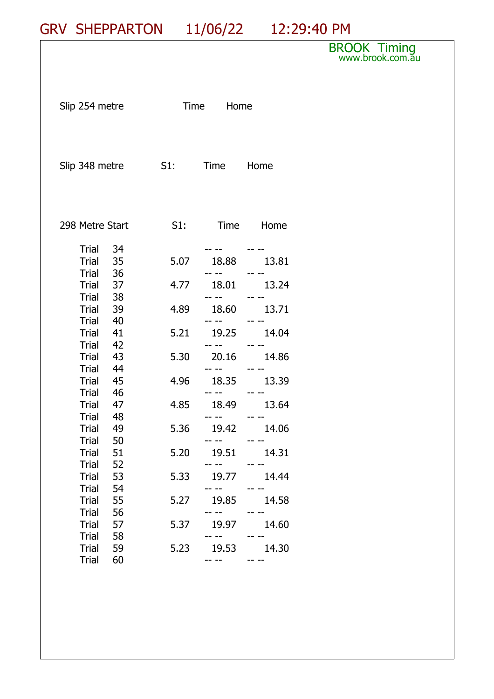## GRV SHEPPARTON 11/06/22 12:29:40 PM

## BROOK Timing www.brook.com.<del>a</del>u

| Slip 254 metre                           |               | Time Home            |           |
|------------------------------------------|---------------|----------------------|-----------|
| Slip 348 metre                           | S1: Time Home |                      |           |
| 298 Metre Start                          | S1:           |                      | Time Home |
| Trial<br>34<br>Trial<br>35               | 5.07          | 18.88                | 13.81     |
| Trial 36<br>Trial 37                     | 4.77          | 18.01                | 13.24     |
| Trial 38<br>Trial 39                     | 4.89          | -- -- - - -<br>18.60 | 13.71     |
| Trial<br>- 40<br>Trial 41<br>Trial 42    | 5.21          | 19.25                | 14.04     |
| 43<br>Trial<br>Trial 44                  | 5.30          | 20.16                | 14.86     |
| - 45<br>Trial<br>- 46<br>Trial           | 4.96          | 18.35                | 13.39     |
| 47<br>Trial<br>- 48<br>Trial             | 4.85          | 18.49<br>-- -- --    | 13.64     |
| 49<br>Trial<br><b>Trial</b><br>50        | 5.36          | 19.42                | 14.06     |
| 51<br>Trial<br><b>Trial</b><br>52        | 5.20          | 19.51                | 14.31     |
| 53<br><b>Trial</b><br>54<br>Trial        | 5.33          | 19.77                | 14.44     |
| 55<br><b>Trial</b><br>56<br><b>Trial</b> | 5.27          | 19.85                | 14.58     |
| <b>Trial</b><br>57<br>58<br><b>Trial</b> | 5.37          | 19.97                | 14.60     |
| <b>Trial</b><br>59<br><b>Trial</b><br>60 | 5.23          | 19.53                | 14.30     |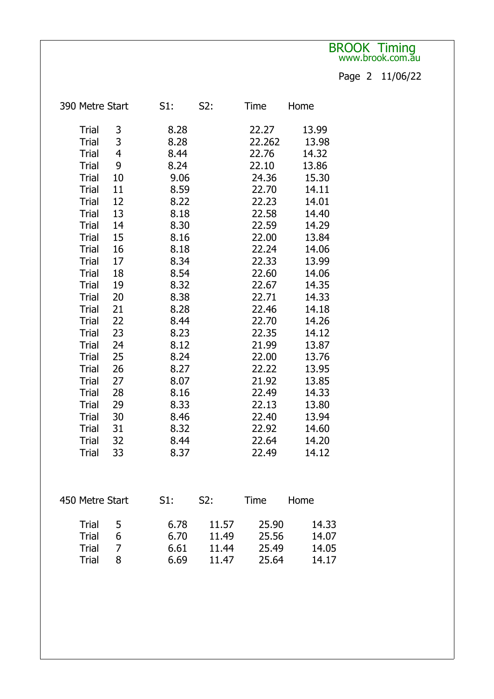## BROOK Timing www.brook.com.<del>a</del>u

Page 2 11/06/22

| 390 Metre Start         | S1:  | S2:   | Time   | Home  |
|-------------------------|------|-------|--------|-------|
| <b>Trial</b><br>3       | 8.28 |       | 22.27  | 13.99 |
| 3<br><b>Trial</b>       | 8.28 |       | 22.262 | 13.98 |
| 4<br><b>Trial</b>       | 8.44 |       | 22.76  | 14.32 |
| 9<br>Trial              | 8.24 |       | 22.10  | 13.86 |
| <b>Trial</b><br>10      | 9.06 |       | 24.36  | 15.30 |
| <b>Trial</b><br>11      | 8.59 |       | 22.70  | 14.11 |
| 12<br><b>Trial</b>      | 8.22 |       | 22.23  | 14.01 |
| 13<br><b>Trial</b>      | 8.18 |       | 22.58  | 14.40 |
| 14<br>Trial             | 8.30 |       | 22.59  | 14.29 |
| 15<br><b>Trial</b>      | 8.16 |       | 22.00  | 13.84 |
| <b>Trial</b><br>16      | 8.18 |       | 22.24  | 14.06 |
| <b>Trial</b><br>17      | 8.34 |       | 22.33  | 13.99 |
| <b>Trial</b><br>18      | 8.54 |       | 22.60  | 14.06 |
| 19<br><b>Trial</b>      | 8.32 |       | 22.67  | 14.35 |
| <b>Trial</b><br>20      | 8.38 |       | 22.71  | 14.33 |
| <b>Trial</b><br>21      | 8.28 |       | 22.46  | 14.18 |
| 22<br><b>Trial</b>      | 8.44 |       | 22.70  | 14.26 |
| <b>Trial</b><br>23      | 8.23 |       | 22.35  | 14.12 |
| 24<br>Trial             | 8.12 |       | 21.99  | 13.87 |
| 25<br><b>Trial</b>      | 8.24 |       | 22.00  | 13.76 |
| <b>Trial</b><br>26      | 8.27 |       | 22.22  | 13.95 |
| 27<br><b>Trial</b>      | 8.07 |       | 21.92  | 13.85 |
| <b>Trial</b><br>28      | 8.16 |       | 22.49  | 14.33 |
| 29<br>Trial             | 8.33 |       | 22.13  | 13.80 |
| <b>Trial</b><br>30      | 8.46 |       | 22.40  | 13.94 |
| <b>Trial</b><br>31      | 8.32 |       | 22.92  | 14.60 |
| 32<br><b>Trial</b>      | 8.44 |       | 22.64  | 14.20 |
| <b>Trial</b><br>33      | 8.37 |       | 22.49  | 14.12 |
|                         |      |       |        |       |
| 450 Metre Start         | S1:  | S2:   | Time   | Home  |
| Trial<br>5              | 6.78 | 11.57 | 25.90  | 14.33 |
| Trial<br>6              | 6.70 | 11.49 | 25.56  | 14.07 |
| $\overline{7}$<br>Trial | 6.61 | 11.44 | 25.49  | 14.05 |
| 8<br>Trial              | 6.69 | 11.47 | 25.64  | 14.17 |
|                         |      |       |        |       |